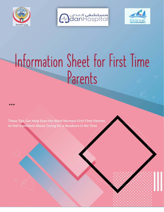





 $\triangle$ 

 $\triangle$ 

## Information Sheet for First Time Parents  $\triangleleft$

**These Tips Can Help Even the Most Nervous First-Time Parents to Feel Confident About Caring for a Newborn in No Time**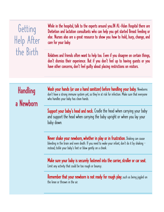| Getting<br>Help After<br>the Birth | While in the hospital, talk to the experts around you. IN AL-Adan Hospital there are<br>Dietietion and lactation consultants who can help you get started Breast feeding or<br>else. Nurses also are a great resource to show you how to hold, burp, change, and<br>care for your baby.<br>Relatives and friends often want to help too. Even if you disagree on certain things,<br>don't dismiss their experience. But if you don't feel up to having guests or you<br>have other concerns, don't feel guilty about placing restrictions on visitors. |
|------------------------------------|--------------------------------------------------------------------------------------------------------------------------------------------------------------------------------------------------------------------------------------------------------------------------------------------------------------------------------------------------------------------------------------------------------------------------------------------------------------------------------------------------------------------------------------------------------|
|                                    |                                                                                                                                                                                                                                                                                                                                                                                                                                                                                                                                                        |
|                                    |                                                                                                                                                                                                                                                                                                                                                                                                                                                                                                                                                        |
| Handling<br>a Newborn              | Wash your hands (or use a hand sanitizer) before handling your baby. Newborns<br>don't have a strong immune system yet, so they're at risk for infection. Make sure that everyone<br>who handles your baby has clean hands.                                                                                                                                                                                                                                                                                                                            |
|                                    | Support your baby's head and neck. Cradle the head when carrying your baby<br>and support the head when carrying the baby upright or when you lay your<br>baby down.                                                                                                                                                                                                                                                                                                                                                                                   |
|                                    | Never shake your newborn, whether in play or in frustration. Shaking can cause<br>bleeding in the brain and even death. If you need to wake your infant, don't do it by shaking –<br>instead, tickle your baby's feet or blow gently on a cheek.                                                                                                                                                                                                                                                                                                       |
|                                    | Make sure your baby is securely fastened into the carrier, stroller or car seat.<br>Limit any activity that could be too rough or bouncy.                                                                                                                                                                                                                                                                                                                                                                                                              |
|                                    | <b>Remember that your newborn is not ready for rough play</b> , such as being jiggled on<br>the knee or thrown in the air.                                                                                                                                                                                                                                                                                                                                                                                                                             |
|                                    |                                                                                                                                                                                                                                                                                                                                                                                                                                                                                                                                                        |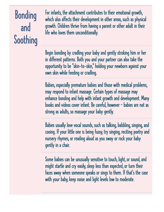# Bonding and Soothing

For infants, the attachment contributes to their emotional growth, which also affects their development in other areas, such as physical growth. Children thrive from having a parent or other adult in their life who loves them unconditionally.

Begin bonding by cradling your baby and gently stroking him or her in different patterns. Both you and your partner can also take the opportunity to be "skin-to-skin," holding your newborn against your own skin while feeding or cradling.

Babies, especially premature babies and those with medical problems, may respond to infant massage. Certain types of massage may enhance bonding and help with infant growth and development. Many books and videos cover infant. Be careful, however — babies are not as strong as adults, so massage your baby gently.

Babies usually love vocal sounds, such as talking, babbling, singing, and cooing. If your little one is being fussy, try singing, reciting poetry and nursery rhymes, or reading aloud as you sway or rock your baby gently in a chair.

Some babies can be unusually sensitive to touch, light, or sound, and might startle and cry easily, sleep less than expected, or turn their faces away when someone speaks or sings to them. If that's the case with your baby, keep noise and light levels low to moderate.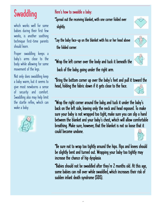## Swaddling

which works well for some babies during their first few weeks, is another soothing technique first-time parents should learn.

Proper swaddling keeps a baby's arms close to the body while allowing for some movement of the legs.

Not only does swaddling keep a baby warm, but it seems to give most newborns a sense of security and comfort. Swaddling also may help limit the startle reflex, which can wake a baby.



Here's how to swaddle a baby:

\*Spread out the receiving blanket, with one corner folded over slightly.

- \*Lay the baby face-up on the blanket with his or her head above the folded corner.
- \*Wrap the left corner over the body and tuck it beneath the back of the baby, going under the right arm.

\*Bring the bottom corner up over the baby's feet and pull it toward the head, folding the fabric down if it gets close to the face.

\*Wrap the right corner around the baby, and tuck it under the baby's back on the left side, leaving only the neck and head exposed. To make sure your baby is not wrapped too tight, make sure you can slip a hand between the blanket and your baby's chest, which will allow comfortable breathing. Make sure, however, that the blanket is not so loose that it could become undone.

\*Be sure not to wrap too tightly around the hips. Hips and knees should be slightly bent and turned out. Wrapping your baby too tightly may increase the chance of hip dysplasia.

\*Babies should not be swaddled after they're 2 months old. At this age, some babies can roll over while swaddled, which increases their risk of sudden infant death syndrome (SIDS).

,.